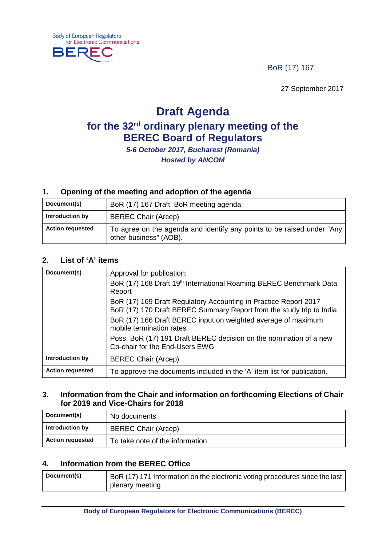BoR (17) 167

27 September 2017

# **Draft Agenda**

# **for the 32rd ordinary plenary meeting of the BEREC Board of Regulators**

*5-6 October 2017, Bucharest (Romania) Hosted by ANCOM*

# **1. Opening of the meeting and adoption of the agenda**

| Document(s)             | BoR (17) 167 Draft BoR meeting agenda                                                            |
|-------------------------|--------------------------------------------------------------------------------------------------|
| Introduction by         | <b>BEREC Chair (Arcep)</b>                                                                       |
| <b>Action requested</b> | To agree on the agenda and identify any points to be raised under "Any<br>other business" (AOB). |

# **2. List of 'A' items**

| Document(s)             | Approval for publication:<br>BoR (17) 168 Draft 19 <sup>th</sup> International Roaming BEREC Benchmark Data<br>Report                    |
|-------------------------|------------------------------------------------------------------------------------------------------------------------------------------|
|                         | BoR (17) 169 Draft Regulatory Accounting in Practice Report 2017<br>BoR (17) 170 Draft BEREC Summary Report from the study trip to India |
|                         | BoR (17) 166 Draft BEREC input on weighted average of maximum<br>mobile termination rates                                                |
|                         | Poss. BoR (17) 191 Draft BEREC decision on the nomination of a new<br>Co-chair for the End-Users EWG                                     |
| Introduction by         | <b>BEREC Chair (Arcep)</b>                                                                                                               |
| <b>Action requested</b> | To approve the documents included in the 'A' item list for publication.                                                                  |

#### **3. Information from the Chair and information on forthcoming Elections of Chair for 2019 and Vice-Chairs for 2018**

| Document(s)             | No documents                     |
|-------------------------|----------------------------------|
| Introduction by         | <b>BEREC Chair (Arcep)</b>       |
| <b>Action requested</b> | To take note of the information. |

# **4. Information from the BEREC Office**

| Document(s) | BoR (17) 171 Information on the electronic voting procedures since the last |
|-------------|-----------------------------------------------------------------------------|
|             | plenary meeting                                                             |

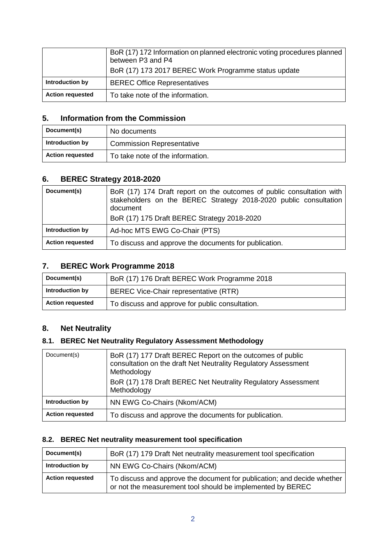|                         | BoR (17) 172 Information on planned electronic voting procedures planned<br>between P3 and P4<br>BoR (17) 173 2017 BEREC Work Programme status update |
|-------------------------|-------------------------------------------------------------------------------------------------------------------------------------------------------|
| Introduction by         | <b>BEREC Office Representatives</b>                                                                                                                   |
| <b>Action requested</b> | To take note of the information.                                                                                                                      |

## **5. Information from the Commission**

| Document(s)             | No documents                     |
|-------------------------|----------------------------------|
| Introduction by         | <b>Commission Representative</b> |
| <b>Action requested</b> | To take note of the information. |

# **6. BEREC Strategy 2018-2020**

| Document(s)             | BoR (17) 174 Draft report on the outcomes of public consultation with<br>stakeholders on the BEREC Strategy 2018-2020 public consultation<br>document<br>BoR (17) 175 Draft BEREC Strategy 2018-2020 |
|-------------------------|------------------------------------------------------------------------------------------------------------------------------------------------------------------------------------------------------|
| Introduction by         | Ad-hoc MTS EWG Co-Chair (PTS)                                                                                                                                                                        |
| <b>Action requested</b> | To discuss and approve the documents for publication.                                                                                                                                                |

# **7. BEREC Work Programme 2018**

| Document(s)             | BoR (17) 176 Draft BEREC Work Programme 2018    |
|-------------------------|-------------------------------------------------|
| Introduction by         | BEREC Vice-Chair representative (RTR)           |
| <b>Action requested</b> | To discuss and approve for public consultation. |

# **8. Net Neutrality**

# **8.1. BEREC Net Neutrality Regulatory Assessment Methodology**

| Document(s)             | BoR (17) 177 Draft BEREC Report on the outcomes of public<br>consultation on the draft Net Neutrality Regulatory Assessment<br>Methodology<br>BoR (17) 178 Draft BEREC Net Neutrality Regulatory Assessment<br>Methodology |
|-------------------------|----------------------------------------------------------------------------------------------------------------------------------------------------------------------------------------------------------------------------|
| Introduction by         | NN EWG Co-Chairs (Nkom/ACM)                                                                                                                                                                                                |
| <b>Action requested</b> | To discuss and approve the documents for publication.                                                                                                                                                                      |

## **8.2. BEREC Net neutrality measurement tool specification**

| Document(s)             | BoR (17) 179 Draft Net neutrality measurement tool specification                                                                      |
|-------------------------|---------------------------------------------------------------------------------------------------------------------------------------|
| Introduction by         | NN EWG Co-Chairs (Nkom/ACM)                                                                                                           |
| <b>Action requested</b> | To discuss and approve the document for publication; and decide whether<br>or not the measurement tool should be implemented by BEREC |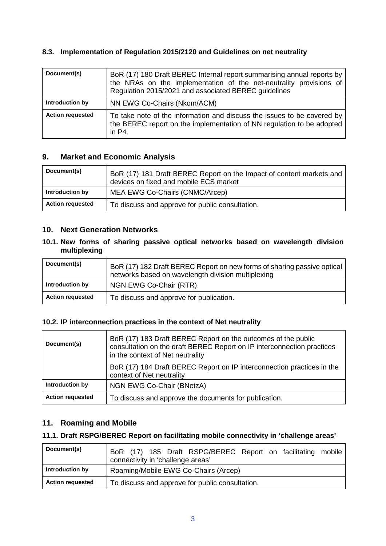## **8.3. Implementation of Regulation 2015/2120 and Guidelines on net neutrality**

| Document(s)             | BoR (17) 180 Draft BEREC Internal report summarising annual reports by<br>the NRAs on the implementation of the net-neutrality provisions of<br>Regulation 2015/2021 and associated BEREC guidelines |
|-------------------------|------------------------------------------------------------------------------------------------------------------------------------------------------------------------------------------------------|
| Introduction by         | NN EWG Co-Chairs (Nkom/ACM)                                                                                                                                                                          |
| <b>Action requested</b> | To take note of the information and discuss the issues to be covered by<br>the BEREC report on the implementation of NN regulation to be adopted<br>in $P4$ .                                        |

## **9. Market and Economic Analysis**

| Document(s)             | BoR (17) 181 Draft BEREC Report on the Impact of content markets and<br>devices on fixed and mobile ECS market |
|-------------------------|----------------------------------------------------------------------------------------------------------------|
| Introduction by         | MEA EWG Co-Chairs (CNMC/Arcep)                                                                                 |
| <b>Action requested</b> | To discuss and approve for public consultation.                                                                |

#### **10. Next Generation Networks**

#### **10.1. New forms of sharing passive optical networks based on wavelength division multiplexing**

| Document(s)             | BoR (17) 182 Draft BEREC Report on new forms of sharing passive optical<br>networks based on wavelength division multiplexing |
|-------------------------|-------------------------------------------------------------------------------------------------------------------------------|
| Introduction by         | NGN EWG Co-Chair (RTR)                                                                                                        |
| <b>Action requested</b> | To discuss and approve for publication.                                                                                       |

#### **10.2. IP interconnection practices in the context of Net neutrality**

| Document(s)             | BoR (17) 183 Draft BEREC Report on the outcomes of the public<br>consultation on the draft BEREC Report on IP interconnection practices<br>in the context of Net neutrality |
|-------------------------|-----------------------------------------------------------------------------------------------------------------------------------------------------------------------------|
|                         | BoR (17) 184 Draft BEREC Report on IP interconnection practices in the<br>context of Net neutrality                                                                         |
| Introduction by         | NGN EWG Co-Chair (BNetzA)                                                                                                                                                   |
| <b>Action requested</b> | To discuss and approve the documents for publication.                                                                                                                       |

# **11. Roaming and Mobile**

#### **11.1. Draft RSPG/BEREC Report on facilitating mobile connectivity in 'challenge areas'**

| Document(s)             | BoR (17) 185 Draft RSPG/BEREC Report on facilitating mobile<br>connectivity in 'challenge areas' |
|-------------------------|--------------------------------------------------------------------------------------------------|
| Introduction by         | Roaming/Mobile EWG Co-Chairs (Arcep)                                                             |
| <b>Action requested</b> | To discuss and approve for public consultation.                                                  |